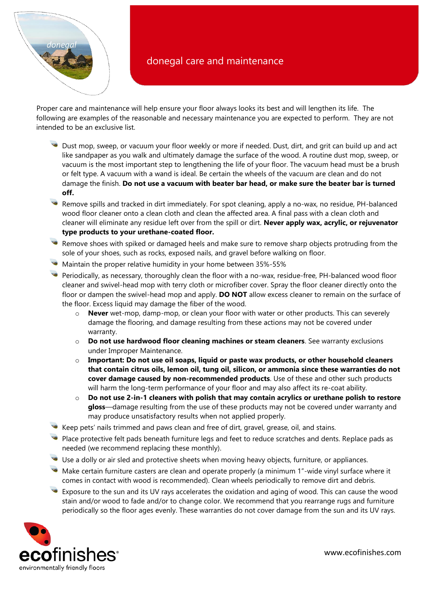

# donegal care and maintenance

Proper care and maintenance will help ensure your floor always looks its best and will lengthen its life. The following are examples of the reasonable and necessary maintenance you are expected to perform. They are not intended to be an exclusive list.

- Dust mop, sweep, or vacuum your floor weekly or more if needed. Dust, dirt, and grit can build up and act like sandpaper as you walk and ultimately damage the surface of the wood. A routine dust mop, sweep, or vacuum is the most important step to lengthening the life of your floor. The vacuum head must be a brush or felt type. A vacuum with a wand is ideal. Be certain the wheels of the vacuum are clean and do not damage the finish. **Do not use a vacuum with beater bar head, or make sure the beater bar is turned off.**
- Remove spills and tracked in dirt immediately. For spot cleaning, apply a no-wax, no residue, PH-balanced wood floor cleaner onto a clean cloth and clean the affected area. A final pass with a clean cloth and cleaner will eliminate any residue left over from the spill or dirt. **Never apply wax, acrylic, or rejuvenator type products to your urethane-coated floor.**
- Remove shoes with spiked or damaged heels and make sure to remove sharp objects protruding from the sole of your shoes, such as rocks, exposed nails, and gravel before walking on floor.
- Maintain the proper relative humidity in your home between 35%-55%
- Periodically, as necessary, thoroughly clean the floor with a no-wax, residue-free, PH-balanced wood floor cleaner and swivel-head mop with terry cloth or microfiber cover. Spray the floor cleaner directly onto the floor or dampen the swivel-head mop and apply. **DO NOT** allow excess cleaner to remain on the surface of the floor. Excess liquid may damage the fiber of the wood.
	- o **Never** wet-mop, damp-mop, or clean your floor with water or other products. This can severely damage the flooring, and damage resulting from these actions may not be covered under warranty.
	- o **Do not use hardwood floor cleaning machines or steam cleaners**. See warranty exclusions under Improper Maintenance.
	- o **Important: Do not use oil soaps, liquid or paste wax products, or other household cleaners that contain citrus oils, lemon oil, tung oil, silicon, or ammonia since these warranties do not cover damage caused by non-recommended products**. Use of these and other such products will harm the long-term performance of your floor and may also affect its re-coat ability.
	- o **Do not use 2-in-1 cleaners with polish that may contain acrylics or urethane polish to restore gloss**—damage resulting from the use of these products may not be covered under warranty and may produce unsatisfactory results when not applied properly.
- Keep pets' nails trimmed and paws clean and free of dirt, gravel, grease, oil, and stains.
- Place protective felt pads beneath furniture legs and feet to reduce scratches and dents. Replace pads as needed (we recommend replacing these monthly).
- Use a dolly or air sled and protective sheets when moving heavy objects, furniture, or appliances.
- Make certain furniture casters are clean and operate properly (a minimum 1"-wide vinyl surface where it comes in contact with wood is recommended). Clean wheels periodically to remove dirt and debris.
- Exposure to the sun and its UV rays accelerates the oxidation and aging of wood. This can cause the wood stain and/or wood to fade and/or to change color. We recommend that you rearrange rugs and furniture periodically so the floor ages evenly. These warranties do not cover damage from the sun and its UV rays.



www.ecofinishes.com